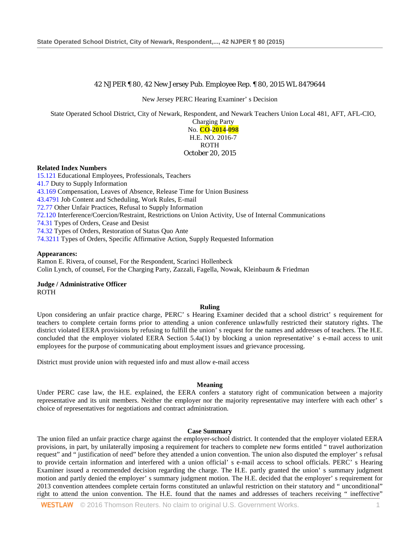# 42 NJPER ¶ 80, 42 New Jersey Pub. Employee Rep. ¶ 80, 2015 WL 8479644

New Jersey PERC Hearing Examiner' s Decision

State Operated School District, City of Newark, Respondent, and Newark Teachers Union Local 481, AFT, AFL-CIO,

Charging Party No. **CO**-**2014**-**098** H.E. NO. 2016-7 ROTH October 20, 2015

### **Related Index Numbers**

[15.121](http://www.westlaw.com/Link/Document/FullText?findType=l&pubNum=101824&cite=DIGEST-PER(15.121)&originatingDoc=I9f271f549fd111e598dc8b09b4f043e0&refType=RJ&originationContext=document&vr=3.0&rs=cblt1.0&transitionType=DocumentItem&contextData=(sc.Search)) Educational Employees, Professionals, Teachers [41.7](http://www.westlaw.com/Link/Document/FullText?findType=l&pubNum=101824&cite=DIGEST-PER(41.7)&originatingDoc=I9f271f549fd111e598dc8b09b4f043e0&refType=RJ&originationContext=document&vr=3.0&rs=cblt1.0&transitionType=DocumentItem&contextData=(sc.Search)) Duty to Supply Information [43.169](http://www.westlaw.com/Link/Document/FullText?findType=l&pubNum=101824&cite=DIGEST-PER(43.169)&originatingDoc=I9f271f549fd111e598dc8b09b4f043e0&refType=RJ&originationContext=document&vr=3.0&rs=cblt1.0&transitionType=DocumentItem&contextData=(sc.Search)) Compensation, Leaves of Absence, Release Time for Union Business [43.4791](http://www.westlaw.com/Link/Document/FullText?findType=l&pubNum=101824&cite=DIGEST-PER(43.4791)&originatingDoc=I9f271f549fd111e598dc8b09b4f043e0&refType=RJ&originationContext=document&vr=3.0&rs=cblt1.0&transitionType=DocumentItem&contextData=(sc.Search)) Job Content and Scheduling, Work Rules, E-mail [72.77](http://www.westlaw.com/Link/Document/FullText?findType=l&pubNum=101824&cite=DIGEST-PER(72.77)&originatingDoc=I9f271f549fd111e598dc8b09b4f043e0&refType=RJ&originationContext=document&vr=3.0&rs=cblt1.0&transitionType=DocumentItem&contextData=(sc.Search)) Other Unfair Practices, Refusal to Supply Information [72.120](http://www.westlaw.com/Link/Document/FullText?findType=l&pubNum=101824&cite=DIGEST-PER(72.120)&originatingDoc=I9f271f549fd111e598dc8b09b4f043e0&refType=RJ&originationContext=document&vr=3.0&rs=cblt1.0&transitionType=DocumentItem&contextData=(sc.Search)) Interference/Coercion/Restraint, Restrictions on Union Activity, Use of Internal Communications [74.31](http://www.westlaw.com/Link/Document/FullText?findType=l&pubNum=101824&cite=DIGEST-PER(74.31)&originatingDoc=I9f271f549fd111e598dc8b09b4f043e0&refType=RJ&originationContext=document&vr=3.0&rs=cblt1.0&transitionType=DocumentItem&contextData=(sc.Search)) Types of Orders, Cease and Desist [74.32](http://www.westlaw.com/Link/Document/FullText?findType=l&pubNum=101824&cite=DIGEST-PER(74.32)&originatingDoc=I9f271f549fd111e598dc8b09b4f043e0&refType=RJ&originationContext=document&vr=3.0&rs=cblt1.0&transitionType=DocumentItem&contextData=(sc.Search)) Types of Orders, Restoration of Status Quo Ante [74.3211](http://www.westlaw.com/Link/Document/FullText?findType=l&pubNum=101824&cite=DIGEST-PER(74.3211)&originatingDoc=I9f271f549fd111e598dc8b09b4f043e0&refType=RJ&originationContext=document&vr=3.0&rs=cblt1.0&transitionType=DocumentItem&contextData=(sc.Search)) Types of Orders, Specific Affirmative Action, Supply Requested Information

### **Appearances:**

Ramon E. Rivera, of counsel, For the Respondent, Scarinci Hollenbeck Colin Lynch, of counsel, For the Charging Party, Zazzali, Fagella, Nowak, Kleinbaum & Friedman

**Judge / Administrative Officer** ROTH

#### **Ruling**

Upon considering an unfair practice charge, PERC' s Hearing Examiner decided that a school district' s requirement for teachers to complete certain forms prior to attending a union conference unlawfully restricted their statutory rights. The district violated EERA provisions by refusing to fulfill the union' s request for the names and addresses of teachers. The H.E. concluded that the employer violated EERA Section 5.4a(1) by blocking a union representative' s e-mail access to unit employees for the purpose of communicating about employment issues and grievance processing.

District must provide union with requested info and must allow e-mail access

#### **Meaning**

Under PERC case law, the H.E. explained, the EERA confers a statutory right of communication between a majority representative and its unit members. Neither the employer nor the majority representative may interfere with each other' s choice of representatives for negotiations and contract administration.

#### **Case Summary**

The union filed an unfair practice charge against the employer-school district. It contended that the employer violated EERA provisions, in part, by unilaterally imposing a requirement for teachers to complete new forms entitled " travel authorization request" and " justification of need" before they attended a union convention. The union also disputed the employer' s refusal to provide certain information and interfered with a union official' s e-mail access to school officials. PERC' s Hearing Examiner issued a recommended decision regarding the charge. The H.E. partly granted the union' s summary judgment motion and partly denied the employer' s summary judgment motion. The H.E. decided that the employer' s requirement for 2013 convention attendees complete certain forms constituted an unlawful restriction on their statutory and " unconditional" right to attend the union convention. The H.E. found that the names and addresses of teachers receiving " ineffective"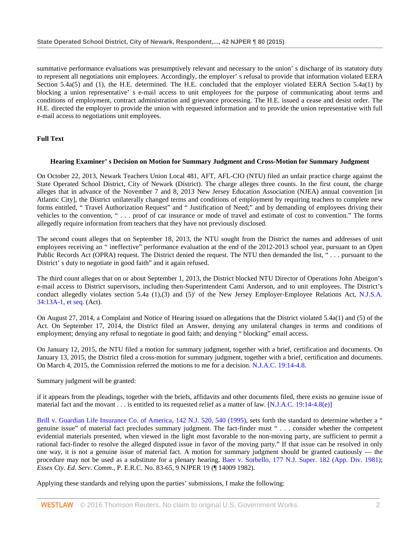summative performance evaluations was presumptively relevant and necessary to the union' s discharge of its statutory duty to represent all negotiations unit employees. Accordingly, the employer' s refusal to provide that information violated EERA Section 5.4a(5) and (1), the H.E. determined. The H.E. concluded that the employer violated EERA Section 5.4a(1) by blocking a union representative' s e-mail access to unit employees for the purpose of communicating about terms and conditions of employment, contract administration and grievance processing. The H.E. issued a cease and desist order. The H.E. directed the employer to provide the union with requested information and to provide the union representative with full e-mail access to negotiations unit employees.

# **Full Text**

## **Hearing Examiner' s Decision on Motion for Summary Judgment and Cross-Motion for Summary Judgment**

On October 22, 2013, Newark Teachers Union Local 481, AFT, AFL-CIO (NTU) filed an unfair practice charge against the State Operated School District, City of Newark (District). The charge alleges three counts. In the first count, the charge alleges that in advance of the November 7 and 8, 2013 New Jersey Education Association (NJEA) annual convention [in Atlantic City], the District unilaterally changed terms and conditions of employment by requiring teachers to complete new forms entitled, " Travel Authorization Request" and " Justification of Need;" and by demanding of employees driving their vehicles to the convention, " . . . proof of car insurance or mode of travel and estimate of cost to convention." The forms allegedly require information from teachers that they have not previously disclosed.

The second count alleges that on September 18, 2013, the NTU sought from the District the names and addresses of unit employees receiving an " ineffective" performance evaluation at the end of the 2012-2013 school year, pursuant to an Open Public Records Act (OPRA) request. The District denied the request. The NTU then demanded the list, " . . . pursuant to the District' s duty to negotiate in good faith" and it again refused.

The third count alleges that on or about September 1, 2013, the District blocked NTU Director of Operations John Abeigon's e-mail access to District supervisors, including then-Superintendent Cami Anderson, and to unit employees. The District's conduct allegedly violates section 5.4a  $(1),(3)$  and  $(5)^1$  of the New Jersey Employer-Employee Relations Act, N.J.S.A. [34:13A-1, et seq.](http://www.westlaw.com/Link/Document/FullText?findType=L&pubNum=1000045&cite=NJST34%3a13A-1&originatingDoc=I9f271f549fd111e598dc8b09b4f043e0&refType=LQ&originationContext=document&vr=3.0&rs=cblt1.0&transitionType=DocumentItem&contextData=(sc.Search)) (Act).

On August 27, 2014, a Complaint and Notice of Hearing issued on allegations that the District violated 5.4a(1) and (5) of the Act. On September 17, 2014, the District filed an Answer, denying any unilateral changes in terms and conditions of employment; denying any refusal to negotiate in good faith; and denying " blocking" email access.

On January 12, 2015, the NTU filed a motion for summary judgment, together with a brief, certification and documents. On January 13, 2015, the District filed a cross-motion for summary judgment, together with a brief, certification and documents. On March 4, 2015, the Commission referred the motions to me for a decision. [N.J.A.C. 19:14-4.8.](http://www.westlaw.com/Link/Document/FullText?findType=L&pubNum=1012299&cite=NJADC19%3a14-4.8&originatingDoc=I9f271f549fd111e598dc8b09b4f043e0&refType=LQ&originationContext=document&vr=3.0&rs=cblt1.0&transitionType=DocumentItem&contextData=(sc.Search))

Summary judgment will be granted:

if it appears from the pleadings, together with the briefs, affidavits and other documents filed, there exists no genuine issue of material fact and the movant . . . is entitled to its requested relief as a matter of law. [\[N.J.A.C. 19:14-4.8\(e\)\]](http://www.westlaw.com/Link/Document/FullText?findType=L&pubNum=1012299&cite=NJADC19%3a14-4.8&originatingDoc=I9f271f549fd111e598dc8b09b4f043e0&refType=LQ&originationContext=document&vr=3.0&rs=cblt1.0&transitionType=DocumentItem&contextData=(sc.Search))

[Brill v. Guardian Life Insurance Co. of America, 142 N.J. 520, 540 \(1995\),](http://www.westlaw.com/Link/Document/FullText?findType=Y&serNum=1995221842&pubNum=0000583&originatingDoc=I9f271f549fd111e598dc8b09b4f043e0&refType=RP&fi=co_pp_sp_583_540&originationContext=document&vr=3.0&rs=cblt1.0&transitionType=DocumentItem&contextData=(sc.Search)#co_pp_sp_583_540) sets forth the standard to determine whether a " genuine issue" of material fact precludes summary judgment. The fact-finder must " . . . consider whether the competent evidential materials presented, when viewed in the light most favorable to the non-moving party, are sufficient to permit a rational fact-finder to resolve the alleged disputed issue in favor of the moving party." If that issue can be resolved in only one way, it is not a genuine issue of material fact. A motion for summary judgment should be granted cautiously — the procedure may not be used as a substitute for a plenary hearing. [Baer v. Sorbello, 177 N.J. Super. 182 \(App. Div. 1981\);](http://www.westlaw.com/Link/Document/FullText?findType=Y&serNum=1981107870&pubNum=0000590&originatingDoc=I9f271f549fd111e598dc8b09b4f043e0&refType=RP&originationContext=document&vr=3.0&rs=cblt1.0&transitionType=DocumentItem&contextData=(sc.Search)) *Essex Cty. Ed. Serv. Comm*., P. E.R.C. No. 83-65, 9 NJPER 19 (¶ 14009 1982).

Applying these standards and relying upon the parties' submissions, I make the following: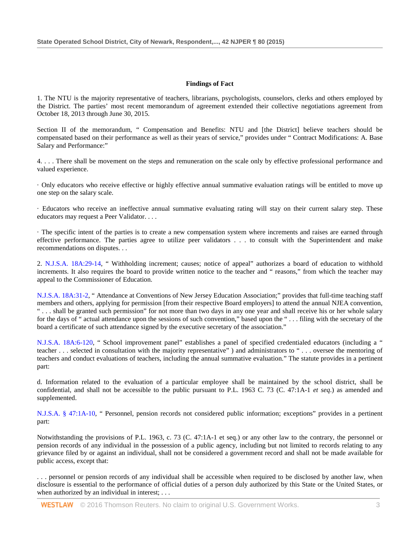# **Findings of Fact**

1. The NTU is the majority representative of teachers, librarians, psychologists, counselors, clerks and others employed by the District. The parties' most recent memorandum of agreement extended their collective negotiations agreement from October 18, 2013 through June 30, 2015.

Section II of the memorandum, " Compensation and Benefits: NTU and [the District] believe teachers should be compensated based on their performance as well as their years of service," provides under " Contract Modifications: A. Base Salary and Performance:"

4. . . . There shall be movement on the steps and remuneration on the scale only by effective professional performance and valued experience.

· Only educators who receive effective or highly effective annual summative evaluation ratings will be entitled to move up one step on the salary scale.

· Educators who receive an ineffective annual summative evaluating rating will stay on their current salary step. These educators may request a Peer Validator. . . .

· The specific intent of the parties is to create a new compensation system where increments and raises are earned through effective performance. The parties agree to utilize peer validators . . . to consult with the Superintendent and make recommendations on disputes. . .

2. [N.J.S.A. 18A:29-14,](http://www.westlaw.com/Link/Document/FullText?findType=L&pubNum=1000045&cite=NJST18A%3a29-14&originatingDoc=I9f271f549fd111e598dc8b09b4f043e0&refType=LQ&originationContext=document&vr=3.0&rs=cblt1.0&transitionType=DocumentItem&contextData=(sc.Search)) " Withholding increment; causes; notice of appeal" authorizes a board of education to withhold increments. It also requires the board to provide written notice to the teacher and " reasons," from which the teacher may appeal to the Commissioner of Education.

[N.J.S.A. 18A:31-2,](http://www.westlaw.com/Link/Document/FullText?findType=L&pubNum=1000045&cite=NJST18A%3a31-2&originatingDoc=I9f271f549fd111e598dc8b09b4f043e0&refType=LQ&originationContext=document&vr=3.0&rs=cblt1.0&transitionType=DocumentItem&contextData=(sc.Search)) " Attendance at Conventions of New Jersey Education Association;" provides that full-time teaching staff members and others, applying for permission [from their respective Board employers] to attend the annual NJEA convention, " . . . shall be granted such permission" for not more than two days in any one year and shall receive his or her whole salary for the days of " actual attendance upon the sessions of such convention," based upon the " . . . filing with the secretary of the board a certificate of such attendance signed by the executive secretary of the association."

[N.J.S.A. 18A:6-120,](http://www.westlaw.com/Link/Document/FullText?findType=L&pubNum=1000045&cite=NJST18A%3a6-120&originatingDoc=I9f271f549fd111e598dc8b09b4f043e0&refType=LQ&originationContext=document&vr=3.0&rs=cblt1.0&transitionType=DocumentItem&contextData=(sc.Search)) " School improvement panel" establishes a panel of specified credentialed educators (including a " teacher . . . selected in consultation with the majority representative" ) and administrators to " . . . oversee the mentoring of teachers and conduct evaluations of teachers, including the annual summative evaluation." The statute provides in a pertinent part:

d. Information related to the evaluation of a particular employee shall be maintained by the school district, shall be confidential, and shall not be accessible to the public pursuant to P.L. 1963 C. 73 (C. 47:1A-1 *et seq*.) as amended and supplemented.

[N.J.S.A. § 47:1A-10,](http://www.westlaw.com/Link/Document/FullText?findType=L&pubNum=1000045&cite=NJST47%3a1A-10&originatingDoc=I9f271f549fd111e598dc8b09b4f043e0&refType=LQ&originationContext=document&vr=3.0&rs=cblt1.0&transitionType=DocumentItem&contextData=(sc.Search)) " Personnel, pension records not considered public information; exceptions" provides in a pertinent part:

Notwithstanding the provisions of P.L. 1963, c. 73 (C. 47:1A-1 et seq.) or any other law to the contrary, the personnel or pension records of any individual in the possession of a public agency, including but not limited to records relating to any grievance filed by or against an individual, shall not be considered a government record and shall not be made available for public access, except that:

. . . personnel or pension records of any individual shall be accessible when required to be disclosed by another law, when disclosure is essential to the performance of official duties of a person duly authorized by this State or the United States, or when authorized by an individual in interest; ...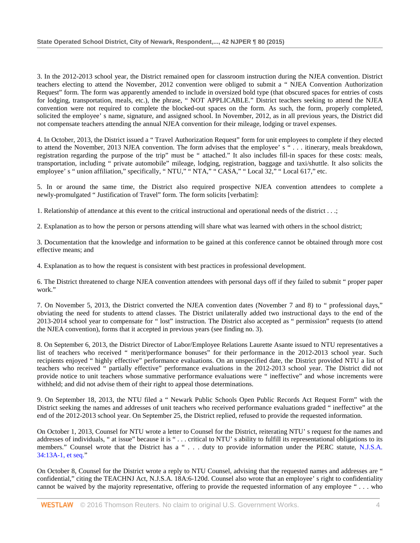3. In the 2012-2013 school year, the District remained open for classroom instruction during the NJEA convention. District teachers electing to attend the November, 2012 convention were obliged to submit a " NJEA Convention Authorization Request" form. The form was apparently amended to include in oversized bold type (that obscured spaces for entries of costs for lodging, transportation, meals, etc.), the phrase, " NOT APPLICABLE." District teachers seeking to attend the NJEA convention were not required to complete the blocked-out spaces on the form. As such, the form, properly completed, solicited the employee' s name, signature, and assigned school. In November, 2012, as in all previous years, the District did not compensate teachers attending the annual NJEA convention for their mileage, lodging or travel expenses.

4. In October, 2013, the District issued a " Travel Authorization Request" form for unit employees to complete if they elected to attend the November, 2013 NJEA convention. The form advises that the employee' s " . . . itinerary, meals breakdown, registration regarding the purpose of the trip" must be " attached." It also includes fill-in spaces for these costs: meals, transportation, including " private automobile" mileage, lodging, registration, baggage and taxi/shuttle. It also solicits the employee' s " union affiliation," specifically, " NTU," " NTA," " CASA," " Local 32," " Local 617," etc.

5. In or around the same time, the District also required prospective NJEA convention attendees to complete a newly-promulgated " Justification of Travel" form. The form solicits [verbatim]:

1. Relationship of attendance at this event to the critical instructional and operational needs of the district . . .;

2. Explanation as to how the person or persons attending will share what was learned with others in the school district;

3. Documentation that the knowledge and information to be gained at this conference cannot be obtained through more cost effective means; and

4. Explanation as to how the request is consistent with best practices in professional development.

6. The District threatened to charge NJEA convention attendees with personal days off if they failed to submit " proper paper work."

7. On November 5, 2013, the District converted the NJEA convention dates (November 7 and 8) to " professional days," obviating the need for students to attend classes. The District unilaterally added two instructional days to the end of the 2013-2014 school year to compensate for " lost" instruction. The District also accepted as " permission" requests (to attend the NJEA convention), forms that it accepted in previous years (see finding no. 3).

8. On September 6, 2013, the District Director of Labor/Employee Relations Laurette Asante issued to NTU representatives a list of teachers who received " merit/performance bonuses" for their performance in the 2012-2013 school year. Such recipients enjoyed " highly effective" performance evaluations. On an unspecified date, the District provided NTU a list of teachers who received " partially effective" performance evaluations in the 2012-2013 school year. The District did not provide notice to unit teachers whose summative performance evaluations were " ineffective" and whose increments were withheld; and did not advise them of their right to appeal those determinations.

9. On September 18, 2013, the NTU filed a " Newark Public Schools Open Public Records Act Request Form" with the District seeking the names and addresses of unit teachers who received performance evaluations graded " ineffective" at the end of the 2012-2013 school year. On September 25, the District replied, refused to provide the requested information.

On October 1, 2013, Counsel for NTU wrote a letter to Counsel for the District, reiterating NTU' s request for the names and addresses of individuals, " at issue" because it is " . . . critical to NTU' s ability to fulfill its representational obligations to its members." Counsel wrote that the District has a " . . . duty to provide information under the PERC statute, N.J.S.A. [34:13A-1, et seq."](http://www.westlaw.com/Link/Document/FullText?findType=L&pubNum=1000045&cite=NJST34%3a13A-1&originatingDoc=I9f271f549fd111e598dc8b09b4f043e0&refType=LQ&originationContext=document&vr=3.0&rs=cblt1.0&transitionType=DocumentItem&contextData=(sc.Search))

On October 8, Counsel for the District wrote a reply to NTU Counsel, advising that the requested names and addresses are " confidential," citing the TEACHNJ Act, N.J.S.A. 18A:6-120d. Counsel also wrote that an employee' s right to confidentiality cannot be waived by the majority representative, offering to provide the requested information of any employee " . . . who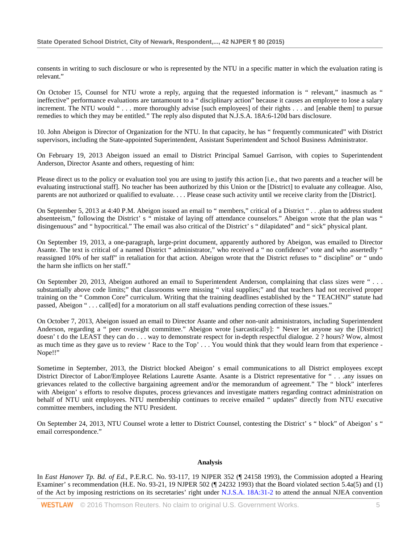consents in writing to such disclosure or who is represented by the NTU in a specific matter in which the evaluation rating is relevant."

On October 15, Counsel for NTU wrote a reply, arguing that the requested information is " relevant," inasmuch as " ineffective" performance evaluations are tantamount to a " disciplinary action" because it causes an employee to lose a salary increment. The NTU would " . . . more thoroughly advise [such employees] of their rights . . . and [enable them] to pursue remedies to which they may be entitled." The reply also disputed that N.J.S.A. 18A:6-120d bars disclosure.

10. John Abeigon is Director of Organization for the NTU. In that capacity, he has " frequently communicated" with District supervisors, including the State-appointed Superintendent, Assistant Superintendent and School Business Administrator.

On February 19, 2013 Abeigon issued an email to District Principal Samuel Garrison, with copies to Superintendent Anderson, Director Asante and others, requesting of him:

Please direct us to the policy or evaluation tool you are using to justify this action [i.e., that two parents and a teacher will be evaluating instructional staff]. No teacher has been authorized by this Union or the [District] to evaluate any colleague. Also, parents are not authorized or qualified to evaluate. . . . Please cease such activity until we receive clarity from the [District].

On September 5, 2013 at 4:40 P.M. Abeigon issued an email to " members," critical of a District " . . .plan to address student absenteeism," following the District' s " mistake of laying off attendance counselors." Abeigon wrote that the plan was ' disingenuous" and " hypocritical." The email was also critical of the District' s " dilapidated" and " sick" physical plant.

On September 19, 2013, a one-paragraph, large-print document, apparently authored by Abeigon, was emailed to Director Asante. The text is critical of a named District " administrator," who received a " no confidence" vote and who assertedly " reassigned 10% of her staff" in retaliation for that action. Abeigon wrote that the District refuses to " discipline" or " undo the harm she inflicts on her staff."

On September 20, 2013, Abeigon authored an email to Superintendent Anderson, complaining that class sizes were " . . . substantially above code limits;" that classrooms were missing " vital supplies;" and that teachers had not received proper training on the " Common Core" curriculum. Writing that the training deadlines established by the " TEACHNJ" statute had passed, Abeigon "... call[ed] for a moratorium on all staff evaluations pending correction of these issues."

On October 7, 2013, Abeigon issued an email to Director Asante and other non-unit administrators, including Superintendent Anderson, regarding a " peer oversight committee." Abeigon wrote [sarcastically]: " Never let anyone say the [District] doesn' t do the LEAST they can do . . . way to demonstrate respect for in-depth respectful dialogue. 2 ? hours? Wow, almost as much time as they gave us to review ' Race to the Top' . . . You would think that they would learn from that experience - Nope!!"

Sometime in September, 2013, the District blocked Abeigon' s email communications to all District employees except District Director of Labor/Employee Relations Laurette Asante. Asante is a District representative for " . . .any issues on grievances related to the collective bargaining agreement and/or the memorandum of agreement." The " block" interferes with Abeigon' s efforts to resolve disputes, process grievances and investigate matters regarding contract administration on behalf of NTU unit employees. NTU membership continues to receive emailed " updates" directly from NTU executive committee members, including the NTU President.

On September 24, 2013, NTU Counsel wrote a letter to District Counsel, contesting the District' s " block" of Abeigon' s " email correspondence."

## **Analysis**

In *East Hanover Tp. Bd. of Ed*., P.E.R.C. No. 93-117, 19 NJPER 352 (¶ 24158 1993), the Commission adopted a Hearing Examiner' s recommendation (H.E. No. 93-21, 19 NJPER 502 ( $\parallel$  24232 1993) that the Board violated section 5.4a(5) and (1) of the Act by imposing restrictions on its secretaries' right under [N.J.S.A. 18A:31-2](http://www.westlaw.com/Link/Document/FullText?findType=L&pubNum=1000045&cite=NJST18A%3a31-2&originatingDoc=I9f271f549fd111e598dc8b09b4f043e0&refType=LQ&originationContext=document&vr=3.0&rs=cblt1.0&transitionType=DocumentItem&contextData=(sc.Search)) to attend the annual NJEA convention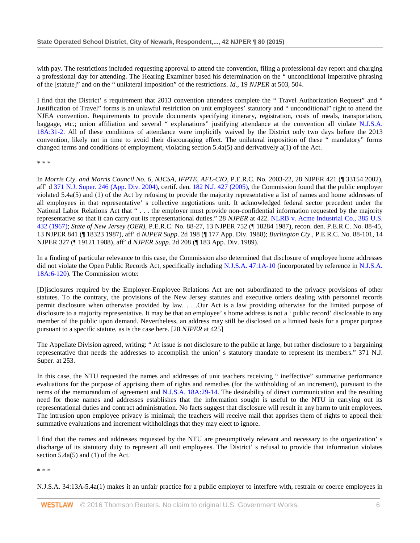with pay. The restrictions included requesting approval to attend the convention, filing a professional day report and charging a professional day for attending. The Hearing Examiner based his determination on the " unconditional imperative phrasing of the [statute]" and on the " unilateral imposition" of the restrictions. *Id*., 19 *NJPER* at 503, 504.

I find that the District' s requirement that 2013 convention attendees complete the " Travel Authorization Request" and " Justification of Travel" forms is an unlawful restriction on unit employees' statutory and " unconditional" right to attend the NJEA convention. Requirements to provide documents specifying itinerary, registration, costs of meals, transportation, baggage, etc.; union affiliation and several " explanations" justifying attendance at the convention all violate [N.J.S.A.](http://www.westlaw.com/Link/Document/FullText?findType=L&pubNum=1000045&cite=NJST18A%3a31-2&originatingDoc=I9f271f549fd111e598dc8b09b4f043e0&refType=LQ&originationContext=document&vr=3.0&rs=cblt1.0&transitionType=DocumentItem&contextData=(sc.Search))  [18A:31-2.](http://www.westlaw.com/Link/Document/FullText?findType=L&pubNum=1000045&cite=NJST18A%3a31-2&originatingDoc=I9f271f549fd111e598dc8b09b4f043e0&refType=LQ&originationContext=document&vr=3.0&rs=cblt1.0&transitionType=DocumentItem&contextData=(sc.Search)) All of these conditions of attendance were implicitly waived by the District only two days before the 2013 convention, likely not in time to avoid their discouraging effect. The unilateral imposition of these " mandatory" forms changed terms and conditions of employment, violating section 5.4a(5) and derivatively a(1) of the Act.

\* \* \*

In *Morris Cty. and Morris Council No. 6, NJCSA, IFPTE, AFL-CIO*, P.E.R.C. No. 2003-22, 28 NJPER 421 (¶ 33154 2002), aff' d [371 N.J. Super. 246 \(App. Div. 2004\),](http://www.westlaw.com/Link/Document/FullText?findType=Y&serNum=2004733328&pubNum=0000590&originatingDoc=I9f271f549fd111e598dc8b09b4f043e0&refType=RP&originationContext=document&vr=3.0&rs=cblt1.0&transitionType=DocumentItem&contextData=(sc.Search)) certif. den. [182 N.J. 427 \(2005\),](http://www.westlaw.com/Link/Document/FullText?findType=Y&serNum=2006238739&pubNum=0000583&originatingDoc=I9f271f549fd111e598dc8b09b4f043e0&refType=RP&originationContext=document&vr=3.0&rs=cblt1.0&transitionType=DocumentItem&contextData=(sc.Search)) the Commission found that the public employer violated 5.4a(5) and (1) of the Act by refusing to provide the majority representative a list of names and home addresses of all employees in that representative' s collective negotiations unit. It acknowledged federal sector precedent under the National Labor Relations Act that "... the employer must provide non-confidential information requested by the majority representative so that it can carry out its representational duties." 28 *NJPER* at 422. [NLRB v. Acme Industrial Co., 385 U.S.](http://www.westlaw.com/Link/Document/FullText?findType=Y&serNum=1967129454&pubNum=0000780&originatingDoc=I9f271f549fd111e598dc8b09b4f043e0&refType=RP&originationContext=document&vr=3.0&rs=cblt1.0&transitionType=DocumentItem&contextData=(sc.Search))  [432 \(1967\);](http://www.westlaw.com/Link/Document/FullText?findType=Y&serNum=1967129454&pubNum=0000780&originatingDoc=I9f271f549fd111e598dc8b09b4f043e0&refType=RP&originationContext=document&vr=3.0&rs=cblt1.0&transitionType=DocumentItem&contextData=(sc.Search)) *State of New Jersey (OER)*, P.E.R.C. No. 88-27, 13 NJPER 752 (¶ 18284 1987), recon. den. P.E.R.C. No. 88-45, 13 NJPER 841 (¶ 18323 1987), aff' d *NJPER Supp*. 2d 198 (¶ 177 App. Div. 1988); *Burlington Cty*., P.E.R.C. No. 88-101, 14 NJPER 327 (¶ 19121 1988), aff' d *NJPER Supp*. 2d 208 (¶ 183 App. Div. 1989).

In a finding of particular relevance to this case, the Commission also determined that disclosure of employee home addresses did not violate the Open Public Records Act, specifically including [N.J.S.A. 47:1A-10](http://www.westlaw.com/Link/Document/FullText?findType=L&pubNum=1000045&cite=NJST47%3a1A-10&originatingDoc=I9f271f549fd111e598dc8b09b4f043e0&refType=LQ&originationContext=document&vr=3.0&rs=cblt1.0&transitionType=DocumentItem&contextData=(sc.Search)) (incorporated by reference in [N.J.S.A.](http://www.westlaw.com/Link/Document/FullText?findType=L&pubNum=1000045&cite=NJST18A%3a6-120&originatingDoc=I9f271f549fd111e598dc8b09b4f043e0&refType=LQ&originationContext=document&vr=3.0&rs=cblt1.0&transitionType=DocumentItem&contextData=(sc.Search))  [18A:6-120\)](http://www.westlaw.com/Link/Document/FullText?findType=L&pubNum=1000045&cite=NJST18A%3a6-120&originatingDoc=I9f271f549fd111e598dc8b09b4f043e0&refType=LQ&originationContext=document&vr=3.0&rs=cblt1.0&transitionType=DocumentItem&contextData=(sc.Search)). The Commission wrote:

[D]isclosures required by the Employer-Employee Relations Act are not subordinated to the privacy provisions of other statutes. To the contrary, the provisions of the New Jersey statutes and executive orders dealing with personnel records permit disclosure when otherwise provided by law. . . .Our Act is a law providing otherwise for the limited purpose of disclosure to a majority representative. It may be that an employee' s home address is not a ' public record' disclosable to any member of the public upon demand. Nevertheless, an address may still be disclosed on a limited basis for a proper purpose pursuant to a specific statute, as is the case here. [28 *NJPER* at 425]

The Appellate Division agreed, writing: " At issue is not disclosure to the public at large, but rather disclosure to a bargaining representative that needs the addresses to accomplish the union' s statutory mandate to represent its members." 371 N.J. Super. at 253.

In this case, the NTU requested the names and addresses of unit teachers receiving " ineffective" summative performance evaluations for the purpose of apprising them of rights and remedies (for the withholding of an increment), pursuant to the terms of the memorandum of agreement and [N.J.S.A. 18A:29-14.](http://www.westlaw.com/Link/Document/FullText?findType=L&pubNum=1000045&cite=NJST18A%3a29-14&originatingDoc=I9f271f549fd111e598dc8b09b4f043e0&refType=LQ&originationContext=document&vr=3.0&rs=cblt1.0&transitionType=DocumentItem&contextData=(sc.Search)) The desirability of direct communication and the resulting need for those names and addresses establishes that the information sought is useful to the NTU in carrying out its representational duties and contract administration. No facts suggest that disclosure will result in any harm to unit employees. The intrusion upon employee privacy is minimal; the teachers will receive mail that apprises them of rights to appeal their summative evaluations and increment withholdings that they may elect to ignore.

I find that the names and addresses requested by the NTU are presumptively relevant and necessary to the organization' s discharge of its statutory duty to represent all unit employees. The District' s refusal to provide that information violates section 5.4a(5) and (1) of the Act.

\* \* \*

N.J.S.A. 34:13A-5.4a(1) makes it an unfair practice for a public employer to interfere with, restrain or coerce employees in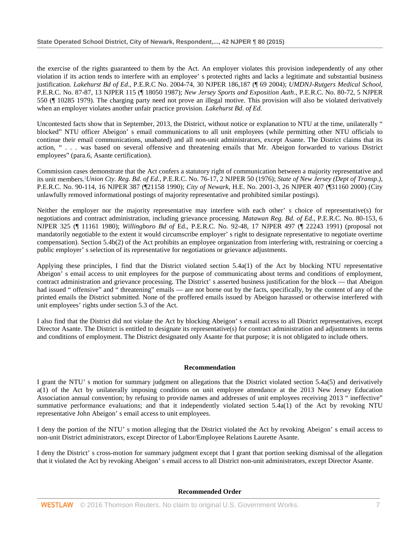the exercise of the rights guaranteed to them by the Act. An employer violates this provision independently of any other violation if its action tends to interfere with an employee' s protected rights and lacks a legitimate and substantial business justification. *Lakehurst Bd of Ed*., P.E.R.C No. 2004-74, 30 NJPER 186,187 (¶ 69 2004); *UMDNJ-Rutgers Medical School*, P.E.R.C. No. 87-87, 13 NJPER 115 (¶ 18050 1987); *New Jersey Sports and Exposition Auth*., P.E.R.C. No. 80-72, 5 NJPER 550 (¶ 10285 1979). The charging party need not prove an illegal motive. This provision will also be violated derivatively when an employer violates another unfair practice provision. *Lakehurst Bd. of Ed*.

Uncontested facts show that in September, 2013, the District, without notice or explanation to NTU at the time, unilaterally " blocked" NTU officer Abeigon' s email communications to all unit employees (while permitting other NTU officials to continue their email communications, unabated) and all non-unit administrators, except Asante. The District claims that its action, " . . . was based on several offensive and threatening emails that Mr. Abeigon forwarded to various District employees" (para.6, Asante certification).

Commission cases demonstrate that the Act confers a statutory right of communication between a majority representative and its unit members.2 *Union Cty. Reg. Bd. of Ed.*, P.E.R.C. No. 76-17, 2 NJPER 50 (1976); *State of New Jersey (Dept of Transp.)*, P.E.R.C. No. 90-114, 16 NJPER 387 (¶21158 1990); *City of Newark*, H.E. No. 2001-3, 26 NJPER 407 (¶31160 2000) (City unlawfully removed informational postings of majority representative and prohibited similar postings).

Neither the employer nor the majority representative may interfere with each other' s choice of representative(s) for negotiations and contract administration, including grievance processing. *Matawan Reg. Bd. of Ed*., P.E.R.C. No. 80-153, 6 NJPER 325 (¶ 11161 1980); *Willingboro Bd of* Ed., P.E.R.C. No. 92-48, 17 NJPER 497 (¶ 22243 1991) (proposal not mandatorily negotiable to the extent it would circumscribe employer' s right to designate representative to negotiate overtime compensation). Section 5.4b(2) of the Act prohibits an employee organization from interfering with, restraining or coercing a public employer' s selection of its representative for negotiations or grievance adjustments.

Applying these principles, I find that the District violated section 5.4a(1) of the Act by blocking NTU representative Abeigon' s email access to unit employees for the purpose of communicating about terms and conditions of employment, contract administration and grievance processing. The District' s asserted business justification for the block — that Abeigon had issued " offensive" and " threatening" emails — are not borne out by the facts, specifically, by the content of any of the printed emails the District submitted. None of the proffered emails issued by Abeigon harassed or otherwise interfered with unit employees' rights under section 5.3 of the Act.

I also find that the District did not violate the Act by blocking Abeigon' s email access to all District representatives, except Director Asante. The District is entitled to designate its representative(s) for contract administration and adjustments in terms and conditions of employment. The District designated only Asante for that purpose; it is not obligated to include others.

## **Recommendation**

I grant the NTU' s motion for summary judgment on allegations that the District violated section 5.4a(5) and derivatively a(1) of the Act by unilaterally imposing conditions on unit employee attendance at the 2013 New Jersey Education Association annual convention; by refusing to provide names and addresses of unit employees receiving 2013 " ineffective" summative performance evaluations; and that it independently violated section 5.4a(1) of the Act by revoking NTU representative John Abeigon' s email access to unit employees.

I deny the portion of the NTU' s motion alleging that the District violated the Act by revoking Abeigon' s email access to non-unit District administrators, except Director of Labor/Employee Relations Laurette Asante.

I deny the District' s cross-motion for summary judgment except that I grant that portion seeking dismissal of the allegation that it violated the Act by revoking Abeigon' s email access to all District non-unit administrators, except Director Asante.

**Recommended Order**